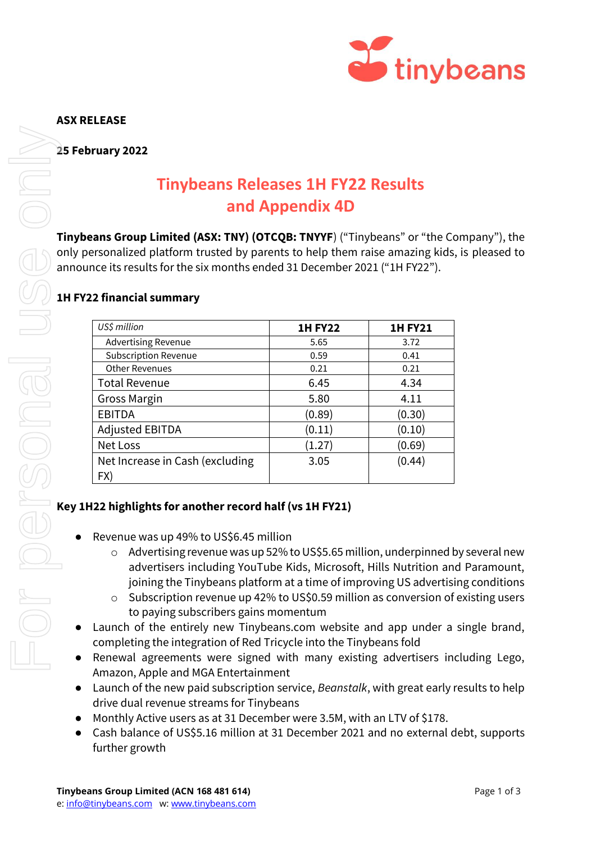

### **ASX RELEASE**

**25 February 2022**

# **Tinybeans Releases 1H FY22 Results and Appendix 4D**

**Tinybeans Group Limited (ASX: TNY) (OTCQB: TNYYF**) ("Tinybeans" or "the Company"), the only personalized platform trusted by parents to help them raise amazing kids, is pleased to announce its results for the six months ended 31 December 2021 ("1H FY22").

## **1H FY22 financial summary**

| US\$ million                           | <b>1H FY22</b> | <b>1H FY21</b> |
|----------------------------------------|----------------|----------------|
| <b>Advertising Revenue</b>             | 5.65           | 3.72           |
| <b>Subscription Revenue</b>            | 0.59           | 0.41           |
| <b>Other Revenues</b>                  | 0.21           | 0.21           |
| <b>Total Revenue</b>                   | 6.45           | 4.34           |
| <b>Gross Margin</b>                    | 5.80           | 4.11           |
| <b>EBITDA</b>                          | (0.89)         | (0.30)         |
| <b>Adjusted EBITDA</b>                 | (0.11)         | (0.10)         |
| Net Loss                               | (1.27)         | (0.69)         |
| Net Increase in Cash (excluding<br>FX) | 3.05           | (0.44)         |

## **Key 1H22 highlights for another record half (vs 1H FY21)**

- Revenue was up 49% to US\$6.45 million
	- o Advertising revenue was up 52% to US\$5.65 million, underpinned by several new advertisers including YouTube Kids, Microsoft, Hills Nutrition and Paramount, joining the Tinybeans platform at a time of improving US advertising conditions
	- $\circ$  Subscription revenue up 42% to US\$0.59 million as conversion of existing users to paying subscribers gains momentum
- Launch of the entirely new Tinybeans.com website and app under a single brand, completing the integration of Red Tricycle into the Tinybeans fold
- Renewal agreements were signed with many existing advertisers including Lego, Amazon, Apple and MGA Entertainment
- Launch of the new paid subscription service, *Beanstalk*, with great early results to help drive dual revenue streams for Tinybeans
- Monthly Active users as at 31 December were 3.5M, with an LTV of \$178.
- Cash balance of US\$5.16 million at 31 December 2021 and no external debt, supports further growth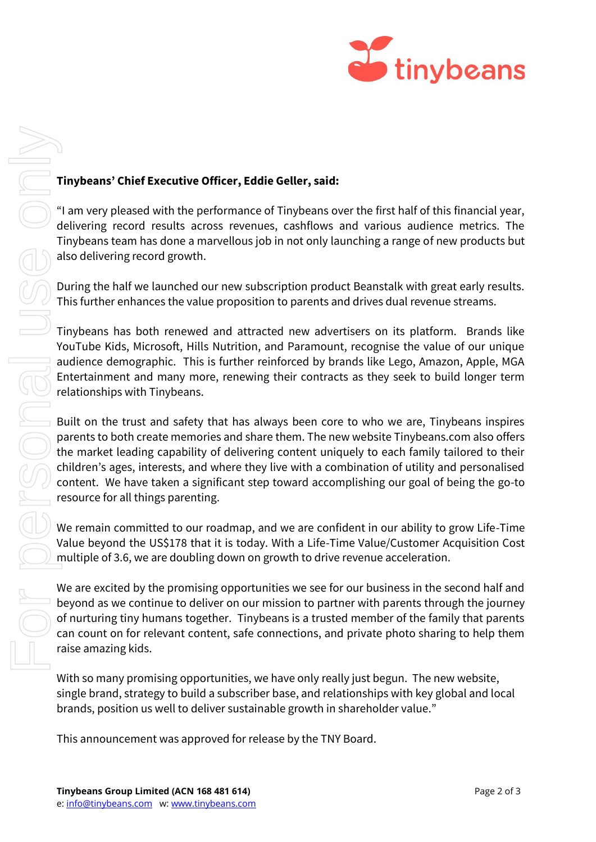

#### **Tinybeans' Chief Executive Officer, Eddie Geller, said:**

"I am very pleased with the performance of Tinybeans over the first half of this financial year, delivering record results across revenues, cashflows and various audience metrics. The Tinybeans team has done a marvellous job in not only launching a range of new products but also delivering record growth.

During the half we launched our new subscription product Beanstalk with great early results. This further enhances the value proposition to parents and drives dual revenue streams.

Tinybeans has both renewed and attracted new advertisers on its platform. Brands like YouTube Kids, Microsoft, Hills Nutrition, and Paramount, recognise the value of our unique audience demographic. This is further reinforced by brands like Lego, Amazon, Apple, MGA Entertainment and many more, renewing their contracts as they seek to build longer term relationships with Tinybeans.

Built on the trust and safety that has always been core to who we are, Tinybeans inspires parents to both create memories and share them. The new website Tinybeans.com also offers the market leading capability of delivering content uniquely to each family tailored to their children's ages, interests, and where they live with a combination of utility and personalised content. We have taken a significant step toward accomplishing our goal of being the go-to resource for all things parenting.

We remain committed to our roadmap, and we are confident in our ability to grow Life-Time Value beyond the US\$178 that it is today. With a Life-Time Value/Customer Acquisition Cost multiple of 3.6, we are doubling down on growth to drive revenue acceleration.

We are excited by the promising opportunities we see for our business in the second half and beyond as we continue to deliver on our mission to partner with parents through the journey of nurturing tiny humans together. Tinybeans is a trusted member of the family that parents can count on for relevant content, safe connections, and private photo sharing to help them raise amazing kids.

With so many promising opportunities, we have only really just begun. The new website, single brand, strategy to build a subscriber base, and relationships with key global and local brands, position us well to deliver sustainable growth in shareholder value."